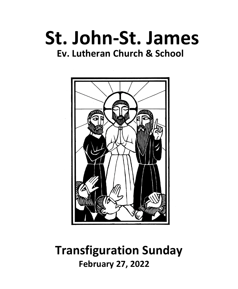# **St. John-St. James Ev. Lutheran Church & School**



# **Transfiguration Sunday February 27, 2022**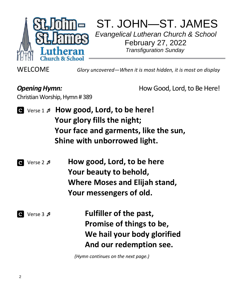

ST. JOHN—ST. JAMES *Evangelical Lutheran Church & School*  February 27, 2022 *Transfiguration Sunday*

WELCOME *Glory uncovered—When it is most hidden, it is most on display*

## **Opening Hymn: Company How Good, Lord, to Be Here!**

Christian Worship, Hymn # 389

- 
- Verse 1  **How good, Lord, to be here! Your glory fills the night; Your face and garments, like the sun, Shine with unborrowed light.**
- Verse 2  **How good, Lord, to be here Your beauty to behold, Where Moses and Elijah stand, Your messengers of old.**
- Verse 3  **Fulfiller of the past, Promise of things to be, We hail your body glorified And our redemption see.**

 *(Hymn continues on the next page.)*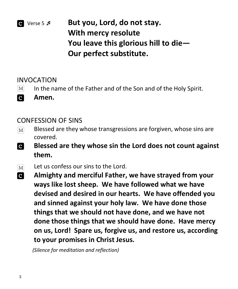

*Q* Verse 5 *P* **But you, Lord, do not stay. With mercy resolute You leave this glorious hill to die— Our perfect substitute.**

### INVOCATION

- In the name of the Father and of the Son and of the Holy Spirit.  $|M|$
- C **Amen.**

#### CONFESSION OF SINS

- Blessed are they whose transgressions are forgiven, whose sins are  $[M]$ covered.
- **Blessed are they whose sin the Lord does not count against**   $\overline{c}$ **them.**
- Let us confess our sins to the Lord.  $[M]$
- **Almighty and merciful Father, we have strayed from your**   $\overline{c}$ **ways like lost sheep. We have followed what we have devised and desired in our hearts. We have offended you and sinned against your holy law. We have done those things that we should not have done, and we have not done those things that we should have done. Have mercy on us, Lord! Spare us, forgive us, and restore us, according to your promises in Christ Jesus.**

 *(Silence for meditation and reflection)*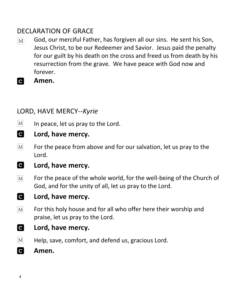## DECLARATION OF GRACE

- God, our merciful Father, has forgiven all our sins. He sent his Son,  $|M|$ Jesus Christ, to be our Redeemer and Savior. Jesus paid the penalty for our guilt by his death on the cross and freed us from death by his resurrection from the grave. We have peace with God now and forever.
- **Amen.**  $\mathbf{C}$

## LORD, HAVE MERCY*--Kyrie*

- $\lceil \text{M} \rceil$ In peace, let us pray to the Lord.
- $\overline{c}$ **Lord, have mercy.**
- $\lceil \text{M} \rceil$ For the peace from above and for our salvation, let us pray to the Lord.
- $\mathbf{c}$ **Lord, have mercy.**
- For the peace of the whole world, for the well-being of the Church of  $\boxed{\text{M}}$ God, and for the unity of all, let us pray to the Lord.
- **C Lord, have mercy.**
- For this holy house and for all who offer here their worship and  $\lceil \text{M} \rceil$ praise, let us pray to the Lord.
- **C Lord, have mercy.**
- $|M|$ Help, save, comfort, and defend us, gracious Lord.
- $|{\bf c}|$ **Amen.**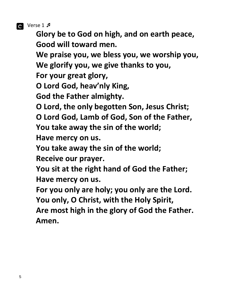**a** Verse 1 *p* 

**Glory be to God on high, and on earth peace, Good will toward men.**

**We praise you, we bless you, we worship you,**

**We glorify you, we give thanks to you,**

**For your great glory,**

**O Lord God, heav'nly King,**

**God the Father almighty.**

**O Lord, the only begotten Son, Jesus Christ;**

**O Lord God, Lamb of God, Son of the Father,**

**You take away the sin of the world;**

**Have mercy on us.**

**You take away the sin of the world;**

**Receive our prayer.**

**You sit at the right hand of God the Father; Have mercy on us.**

**For you only are holy; you only are the Lord. You only, O Christ, with the Holy Spirit,**

**Are most high in the glory of God the Father. Amen.**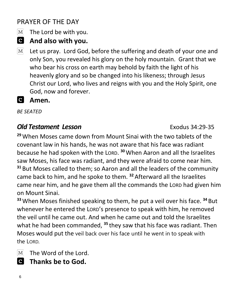## PRAYER OF THE DAY

- $\boxed{\text{M}}$ The Lord be with you.
- **And also with you.**
- Let us pray. Lord God, before the suffering and death of your one and  $\mathbf{M}$ only Son, you revealed his glory on the holy mountain. Grant that we who bear his cross on earth may behold by faith the light of his heavenly glory and so be changed into his likeness; through Jesus Christ our Lord, who lives and reigns with you and the Holy Spirit, one God, now and forever.
- **Amen.**

*BE SEATED*

## **Old Testament Lesson** *Cold Testament Lesson*

**<sup>29</sup>**When Moses came down from Mount Sinai with the two tablets of the covenant law in his hands, he was not aware that his face was radiant because he had spoken with the LORD. **<sup>30</sup>**When Aaron and all the Israelites saw Moses, his face was radiant, and they were afraid to come near him. **<sup>31</sup>** But Moses called to them; so Aaron and all the leaders of the community came back to him, and he spoke to them. **<sup>32</sup>** Afterward all the Israelites came near him, and he gave them all the commands the LORD had given him on Mount Sinai.

**<sup>33</sup>**When Moses finished speaking to them, he put a veil over his face. **<sup>34</sup>** But whenever he entered the LORD's presence to speak with him, he removed the veil until he came out. And when he came out and told the Israelites what he had been commanded, **<sup>35</sup>** they saw that his face was radiant. Then Moses would put the veil back over his face until he went in to speak with the LORD.

The Word of the Lord.  $|M|$ 

 **Thanks be to God.**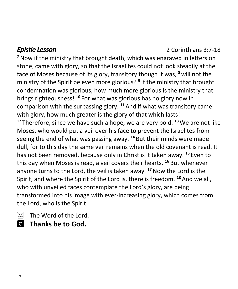#### *Epistle Lesson* 2 Corinthians 3:7-18

**<sup>7</sup>**Now if the ministry that brought death, which was engraved in letters on stone, came with glory, so that the Israelites could not look steadily at the face of Moses because of its glory, transitory though it was, **<sup>8</sup>** will not the ministry of the Spirit be even more glorious? **<sup>9</sup>** If the ministry that brought condemnation was glorious, how much more glorious is the ministry that brings righteousness! **<sup>10</sup>** For what was glorious has no glory now in comparison with the surpassing glory. **<sup>11</sup>**And if what was transitory came with glory, how much greater is the glory of that which lasts! **<sup>12</sup>** Therefore, since we have such a hope, we are very bold. **<sup>13</sup>**We are not like Moses, who would put a veil over his face to prevent the Israelites from seeing the end of what was passing away. **<sup>14</sup>** But their minds were made dull, for to this day the same veil remains when the old covenant is read. It has not been removed, because only in Christ is it taken away. **<sup>15</sup>** Even to this day when Moses is read, a veil covers their hearts. **<sup>16</sup>** But whenever anyone turns to the Lord, the veil is taken away. **<sup>17</sup>**Now the Lord is the Spirit, and where the Spirit of the Lord is, there is freedom. **<sup>18</sup>** And we all, who with unveiled faces contemplate the Lord's glory, are being transformed into his image with ever-increasing glory, which comes from the Lord, who is the Spirit.

- The Word of the Lord.  $|M|$
- **Thanks be to God.**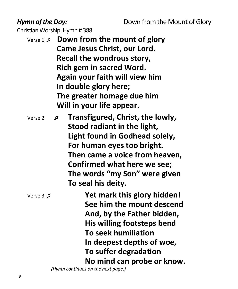*Hymn of the Day:* Down from the Mount of Glory

Christian Worship, Hymn # 388

- Verse 1  **Down from the mount of glory Came Jesus Christ, our Lord. Recall the wondrous story, Rich gem in sacred Word. Again your faith will view him In double glory here; The greater homage due him Will in your life appear.**
- Verse 2  **Transfigured, Christ, the lowly, Stood radiant in the light, Light found in Godhead solely, For human eyes too bright. Then came a voice from heaven, Confirmed what here we see; The words "my Son" were given To seal his deity.**

 Verse 3  **Yet mark this glory hidden! See him the mount descend And, by the Father bidden, His willing footsteps bend To seek humiliation In deepest depths of woe, To suffer degradation No mind can probe or know.**

 *(Hymn continues on the next page.)*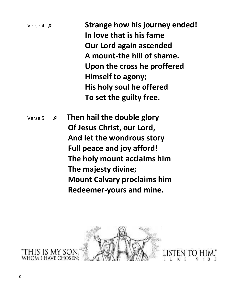Verse <sup>4</sup> **Strange how his journey ended! In love that is his fame Our Lord again ascended A mount-the hill of shame. Upon the cross he proffered Himself to agony; His holy soul he offered To set the guilty free.** Verse 5  **Then hail the double glory Of Jesus Christ, our Lord, And let the wondrous story** 

**Full peace and joy afford! The holy mount acclaims him The majesty divine; Mount Calvary proclaims him Redeemer-yours and mine.**

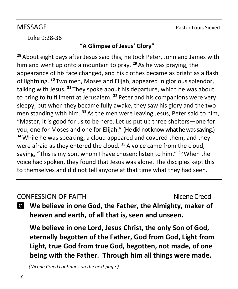**MESSAGE** Pastor Louis Sievert

Luke 9:28-36

## **"A Glimpse of Jesus' Glory"**

**<sup>28</sup>** About eight days after Jesus said this, he took Peter, John and James with him and went up onto a mountain to pray. **<sup>29</sup>** As he was praying, the appearance of his face changed, and his clothes became as bright as a flash of lightning. **<sup>30</sup>** Two men, Moses and Elijah, appeared in glorious splendor, talking with Jesus. **<sup>31</sup>** They spoke about his departure, which he was about to bring to fulfillment at Jerusalem. **<sup>32</sup>** Peter and his companions were very sleepy, but when they became fully awake, they saw his glory and the two men standing with him. **<sup>33</sup>** As the men were leaving Jesus, Peter said to him, "Master, it is good for us to be here. Let us put up three shelters—one for you, one for Moses and one for Elijah." (He did not know what he was saying.) **<sup>34</sup>**While he was speaking, a cloud appeared and covered them, and they were afraid as they entered the cloud. **<sup>35</sup>** A voice came from the cloud, saying, "This is my Son, whom I have chosen; listen to him." **<sup>36</sup>**When the voice had spoken, they found that Jesus was alone. The disciples kept this to themselves and did not tell anyone at that time what they had seen.

CONFESSION OF FAITH Nicene Creed **We believe in one God, the Father, the Almighty, maker of heaven and earth, of all that is, seen and unseen.**

**We believe in one Lord, Jesus Christ, the only Son of God, eternally begotten of the Father, God from God, Light from Light, true God from true God, begotten, not made, of one being with the Father. Through him all things were made.** 

 *(Nicene Creed continues on the next page.)*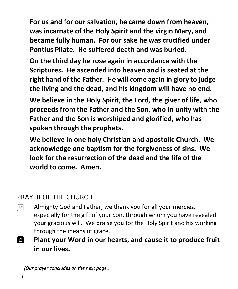**For us and for our salvation, he came down from heaven, was incarnate of the Holy Spirit and the virgin Mary, and became fully human. For our sake he was crucified under Pontius Pilate. He suffered death and was buried.** 

**On the third day he rose again in accordance with the Scriptures. He ascended into heaven and is seated at the right hand of the Father. He will come again in glory to judge the living and the dead, and his kingdom will have no end.**

**We believe in the Holy Spirit, the Lord, the giver of life, who proceeds from the Father and the Son, who in unity with the Father and the Son is worshiped and glorified, who has spoken through the prophets.** 

**We believe in one holy Christian and apostolic Church. We acknowledge one baptism for the forgiveness of sins. We look for the resurrection of the dead and the life of the world to come. Amen.**

## PRAYER OF THE CHURCH

- Almighty God and Father, we thank you for all your mercies,  $\mathbf{M}$ especially for the gift of your Son, through whom you have revealed your gracious will. We praise you for the Holy Spirit and his working through the means of grace.
- **C Plant your Word in our hearts, and cause it to produce fruit in our lives.**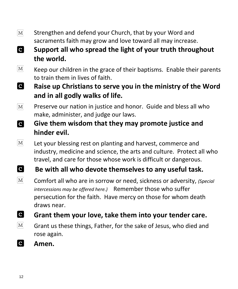- $\lceil \text{M} \rceil$ Strengthen and defend your Church, that by your Word and sacraments faith may grow and love toward all may increase.
- **C Support all who spread the light of your truth throughout the world.**
- $\mathbf{M}$ Keep our children in the grace of their baptisms. Enable their parents to train them in lives of faith.
- $|{\bf c}|$ **Raise up Christians to serve you in the ministry of the Word and in all godly walks of life.**
- $\boxed{\text{M}}$ Preserve our nation in justice and honor. Guide and bless all who make, administer, and judge our laws.
- **Give them wisdom that they may promote justice and C hinder evil.**
- $\lceil \text{M} \rceil$ Let your blessing rest on planting and harvest, commerce and industry, medicine and science, the arts and culture. Protect all who travel, and care for those whose work is difficult or dangerous.

#### $\mathbf C$ **Be with all who devote themselves to any useful task.**

- $\mathbf{M}$ Comfort all who are in sorrow or need, sickness or adversity, *(Special intercessions may be offered here.)* Remember those who suffer persecution for the faith. Have mercy on those for whom death draws near.
- **C Grant them your love, take them into your tender care.**
- $M$ Grant us these things, Father, for the sake of Jesus, who died and rose again.
- **C Amen.**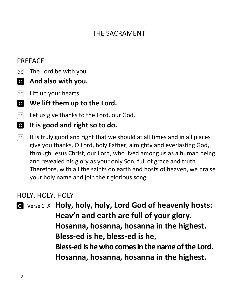## THE SACRAMENT

### PREFACE

The Lord be with you.  $M$ 

### **And also with you.**

- Lift up your hearts.  $\overline{\text{M}}$
- **We lift them up to the Lord.**
- $\boxed{\text{M}}$ Let us give thanks to the Lord, our God.
- $\mathbf{c}$ **It is good and right so to do.**
- It is truly good and right that we should at all times and in all places  $\lceil \text{M} \rceil$ give you thanks, O Lord, holy Father, almighty and everlasting God, through Jesus Christ, our Lord, who lived among us as a human being and revealed his glory as your only Son, full of grace and truth. Therefore, with all the saints on earth and hosts of heaven, we praise your holy name and join their glorious song:

## HOLY, HOLY, HOLY

 Verse 1  **Holy, holy, holy, Lord God of heavenly hosts: Heav'n and earth are full of your glory. Hosanna, hosanna, hosanna in the highest. Bless-ed is he, bless-ed is he, Bless-ed is he who comes in the name of the Lord. Hosanna, hosanna, hosanna in the highest.**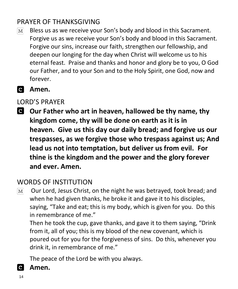## PRAYER OF THANKSGIVING

Bless us as we receive your Son's body and blood in this Sacrament.  $\lvert\mathrm{M}\rvert$ Forgive us as we receive your Son's body and blood in this Sacrament. Forgive our sins, increase our faith, strengthen our fellowship, and deepen our longing for the day when Christ will welcome us to his eternal feast. Praise and thanks and honor and glory be to you, O God our Father, and to your Son and to the Holy Spirit, one God, now and forever.

## **Amen.**

## LORD'S PRAYER

**Our Father who art in heaven, hallowed be thy name, thy kingdom come, thy will be done on earth as it is in heaven. Give us this day our daily bread; and forgive us our trespasses, as we forgive those who trespass against us; And lead us not into temptation, but deliver us from evil. For thine is the kingdom and the power and the glory forever and ever. Amen.**

## WORDS OF INSTITUTION

Our Lord, Jesus Christ, on the night he was betrayed, took bread; and  $\lceil \text{M} \rceil$ when he had given thanks, he broke it and gave it to his disciples, saying, "Take and eat; this is my body, which is given for you. Do this in remembrance of me."

Then he took the cup, gave thanks, and gave it to them saying, "Drink from it, all of you; this is my blood of the new covenant, which is poured out for you for the forgiveness of sins. Do this, whenever you drink it, in remembrance of me."

The peace of the Lord be with you always.

#### $\mathbf{C}$ **Amen.**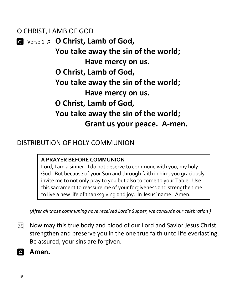O CHRIST, LAMB OF GOD

 Verse 1  **O Christ, Lamb of God, You take away the sin of the world; Have mercy on us. O Christ, Lamb of God, You take away the sin of the world; Have mercy on us. O Christ, Lamb of God, You take away the sin of the world; Grant us your peace. A-men.**

DISTRIBUTION OF HOLY COMMUNION

#### **A PRAYER BEFORE COMMUNION**

Lord, I am a sinner. I do not deserve to commune with you, my holy God. But because of your Son and through faith in him, you graciously invite me to not only pray to you but also to come to your Table. Use this sacrament to reassure me of your forgiveness and strengthen me to live a new life of thanksgiving and joy. In Jesus' name. Amen.

*(After all those communing have received Lord's Supper, we conclude our celebration )*

- Now may this true body and blood of our Lord and Savior Jesus Christ  $M<sub>l</sub>$ strengthen and preserve you in the one true faith unto life everlasting. Be assured, your sins are forgiven.
- **a Amen.**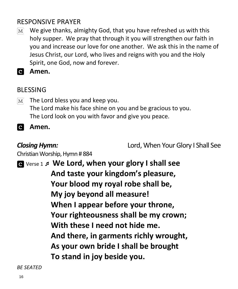## RESPONSIVE PRAYER

- We give thanks, almighty God, that you have refreshed us with this  $M<sup>2</sup>$ holy supper. We pray that through it you will strengthen our faith in you and increase our love for one another. We ask this in the name of Jesus Christ, our Lord, who lives and reigns with you and the Holy Spirit, one God, now and forever.
- **Amen.**

## BLESSING

The Lord bless you and keep you.  $\mathbf{M}$ The Lord make his face shine on you and be gracious to you. The Lord look on you with favor and give you peace.

**Amen.**  $\mathbf{c}$ 

*Closing Hymn:* Lord, When Your Glory I Shall See

Christian Worship, Hymn # 884

 Verse 1  **We Lord, when your glory I shall see And taste your kingdom's pleasure, Your blood my royal robe shall be, My joy beyond all measure! When I appear before your throne, Your righteousness shall be my crown; With these I need not hide me. And there, in garments richly wrought, As your own bride I shall be brought To stand in joy beside you.**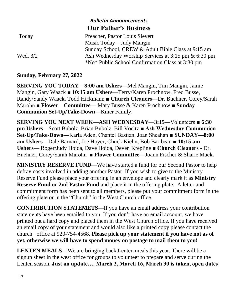| <b>BUILEUN ANNOUNCEMENTS</b>                        |
|-----------------------------------------------------|
| <b>Our Father's Business</b>                        |
| Preacher, Pastor Louis Sievert                      |
| Music Today—Judy Mangin                             |
| Sunday School, CREW & Adult Bible Class at 9:15 am  |
| Ash Wednesday Worship Services at 3:15 pm & 6:30 pm |
| *No* Public School Confirmation Class at 3:30 pm    |
|                                                     |

*Bulletin Announcements*

#### **Sunday, February 27, 2022**

**SERVING YOU TODAY**—**8:00 am Ushers—**Mel Mangin, Tim Mangin, Jamie Mangin, Gary Waack ■ **10:15 am Ushers—**Terry/Karen Prochnow, Fred Busse, Randy/Sandy Waack, Todd Hickmann **■ Church Cleaners—**Dr. Buchner, Corey/Sarah Marohn ■ **Flower Committee—** Mary Busse & Karen Prochnow **■ Sunday Communion Set-Up/Take-Down—**Knier Family.

**SERVING YOU NEXT WEEK—ASH WEDNESDAY**—**3:15—**Volunteers ■ **6:30 pm Ushers**—Scott Bubolz, Brian Bubolz, Bill Voeltz **■ Ash Wednesday Communion Set-Up/Take-Down—**Karla Aden, Chantel Bastian, Joan Sheahan ■ **SUNDAY—8:00 am Ushers—**Dale Barnard, Joe Hoyer, Chuck Kiehn, Bob Baribeau ■ **10:15 am Ushers—** Roger/Judy Hoida, Dave Hoida, Deven Krepline **■ Church Cleaners -** Dr. Buchner, Corey/Sarah Marohn ■ **Flower Committee—**Joann Fischer & Sharie Mack**.**

**MINISTRY RESERVE FUND**—We have started a fund for our Second Pastor to help defray costs involved in adding another Pastor. If you wish to give to the Ministry Reserve Fund please place your offering in an envelope and clearly mark it as **Ministry Reserve Fund or 2nd Pastor Fund** and place it in the offering plate. A letter and commitment form has been sent to all members, please put your commitment form in the offering plate or in the "Church" in the West Church office.

**CONTRIBUTION STATEMETS—**If you have an email address your contribution statements have been emailed to you. If you don't have an email account, we have printed out a hard copy and placed them in the West Church office. If you have received an email copy of your statement and would also like a printed copy please contact the church office at 920-754-4568. **Please pick up your statement if you have not as of yet, otherwise we will have to spend money on postage to mail them to you!** 

**LENTEN MEALS—**We are bringing back Lenten meals this year. There will be a signup sheet in the west office for groups to volunteer to prepare and serve during the Lenten season. **Just an update…. March 2, March 16, March 30 is taken, open dates**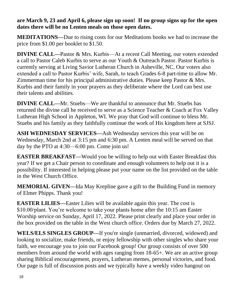#### **are March 9, 23 and April 6, please sign up soon! If no group signs up for the open dates there will be no Lenten meals on those open dates.**

**MEDITATIONS—**Due to rising costs for our Meditations books we had to increase the price from \$1.00 per booklet to \$1.50.

**DIVINE CALL—Pastor & Mrs. Kurbis—At a recent Call Meeting, our voters extended** a call to Pastor Caleb Kurbis to serve as our Youth & Outreach Pastor. Pastor Kurbis is currently serving at Living Savior Lutheran Church in Asheville, NC. Our voters also extended a call to Pastor Kurbis' wife, Sarah, to teach Grades 6-8 part-time to allow Mr. Zimmerman time for his principal administrative duties. Please keep Pastor & Mrs. Kurbis and their family in your prayers as they deliberate where the Lord can best use their talents and abilities.

**DIVINE CALL—**Mr. Stuebs—We are thankful to announce that Mr. Stuebs has returned the divine call he received to serve as a Science Teacher & Coach at Fox Valley Lutheran High School in Appleton, WI. We pray that God will continue to bless Mr. Stuebs and his family as they faithfully continue the work of His kingdom here at SJSJ.

**ASH WEDNESDAY SERVICES—**Ash Wednesday services this year will be on Wednesday, March 2nd at 3:15 pm and 6:30 pm. A Lenten meal will be served on that day by the PTO at 4:30—6:00 pm. Come join us!

**EASTER BREAKFAST—**Would you be willing to help out with Easter Breakfast this year? If we get a Chair person to coordinate and enough volunteers to help out it is a possibility. If interested in helping please put your name on the list provided on the table in the West Church Office.

**MEMORIAL GIVEN—**Ida May Krepline gave a gift to the Building Fund in memory of Elmer Phipps. Thank you!

**EASTER LILIES—**Easter Lilies will be available again this year. The cost is \$10.00/plant. You're welcome to take your plants home after the 10:15 am Easter Worship service on Sunday, April 17, 2022. Please print clearly and place your order in the box provided on the table in the West church office. Orders due by March 27, 2022.

**WELS/ELS SINGLES GROUP—**If you're single (unmarried, divorced, widowed) and looking to socialize, make friends, or enjoy fellowship with other singles who share your faith, we encourage you to join our Facebook group! Our group consists of over 500 members from around the world with ages ranging from 18-65+. We are an active group sharing Biblical encouragement, prayers, Lutheran memes, personal victories, and food. Our page is full of discussion posts and we typically have a weekly video hangout on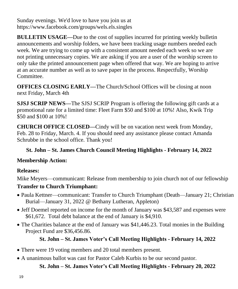Sunday evenings. We'd love to have you join us at https://www.facebook.com/groups/wels.els.singles

**BULLETIN USAGE—**Due to the cost of supplies incurred for printing weekly bulletin announcements and worship folders, we have been tracking usage numbers needed each week. We are trying to come up with a consistent amount needed each week so we are not printing unnecessary copies. We are asking if you are a user of the worship screen to only take the printed announcement page when offered that way. We are hoping to arrive at an accurate number as well as to save paper in the process. Respectfully, Worship Committee.

**OFFICES CLOSING EARLY—**The Church/School Offices will be closing at noon next Friday, March 4th

**SJSJ SCRIP NEWS—**The SJSJ SCRIP Program is offering the following gift cards at a promotional rate for a limited time: Fleet Farm \$50 and \$100 at 10%! Also, Kwik Trip \$50 and \$100 at 10%!

**CHURCH OFFICE CLOSED—**Cindy will be on vacation next week from Monday, Feb. 28 to Friday, March. 4. If you should need any assistance please contact Amanda Schrubbe in the school office. Thank you!

#### **St. John – St. James Church Council Meeting Highlights - February 14, 2022**

#### **Membership Action:**

#### **Releases:**

Mike Meyers—communicant: Release from membership to join church not of our fellowship

#### **Transfer to Church Triumphant:**

- Paula Kettner—communicant: Transfer to Church Triumphant (Death—January 21; Christian Burial—January 31, 2022 @ Bethany Lutheran, Appleton)
- Jeff Doemel reported on income for the month of January was \$43,587 and expenses were \$61,672. Total debt balance at the end of January is \$4,910.
- The Charities balance at the end of January was \$41,446.23. Total monies in the Building Project Fund are \$36,456.86.

#### **St. John – St. James Voter's Call Meeting Highlights - February 14, 2022**

- There were 19 voting members and 20 total members present.
- A unanimous ballot was cast for Pastor Caleb Kurbis to be our second pastor.

#### **St. John – St. James Voter's Call Meeting Highlights - February 20, 2022**